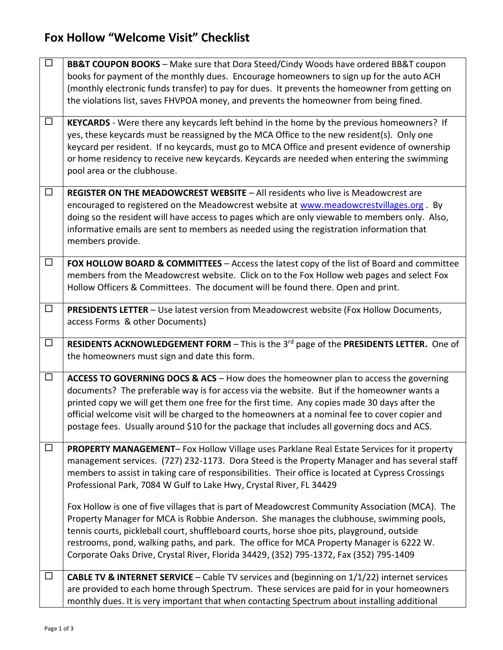## **Fox Hollow "Welcome Visit" Checklist**

| $\Box$ | <b>BB&amp;T COUPON BOOKS</b> - Make sure that Dora Steed/Cindy Woods have ordered BB&T coupon                                                                                              |
|--------|--------------------------------------------------------------------------------------------------------------------------------------------------------------------------------------------|
|        | books for payment of the monthly dues. Encourage homeowners to sign up for the auto ACH                                                                                                    |
|        | (monthly electronic funds transfer) to pay for dues. It prevents the homeowner from getting on                                                                                             |
|        | the violations list, saves FHVPOA money, and prevents the homeowner from being fined.                                                                                                      |
|        |                                                                                                                                                                                            |
| $\Box$ | KEYCARDS - Were there any keycards left behind in the home by the previous homeowners? If                                                                                                  |
|        | yes, these keycards must be reassigned by the MCA Office to the new resident(s). Only one                                                                                                  |
|        | keycard per resident. If no keycards, must go to MCA Office and present evidence of ownership                                                                                              |
|        | or home residency to receive new keycards. Keycards are needed when entering the swimming                                                                                                  |
|        |                                                                                                                                                                                            |
|        | pool area or the clubhouse.                                                                                                                                                                |
| $\Box$ | <b>REGISTER ON THE MEADOWCREST WEBSITE - All residents who live is Meadowcrest are</b>                                                                                                     |
|        |                                                                                                                                                                                            |
|        | encouraged to registered on the Meadowcrest website at www.meadowcrestvillages.org. By                                                                                                     |
|        | doing so the resident will have access to pages which are only viewable to members only. Also,                                                                                             |
|        | informative emails are sent to members as needed using the registration information that                                                                                                   |
|        | members provide.                                                                                                                                                                           |
|        |                                                                                                                                                                                            |
| $\Box$ | FOX HOLLOW BOARD & COMMITTEES - Access the latest copy of the list of Board and committee                                                                                                  |
|        | members from the Meadowcrest website. Click on to the Fox Hollow web pages and select Fox                                                                                                  |
|        | Hollow Officers & Committees. The document will be found there. Open and print.                                                                                                            |
|        |                                                                                                                                                                                            |
| $\Box$ | <b>PRESIDENTS LETTER</b> - Use latest version from Meadowcrest website (Fox Hollow Documents,                                                                                              |
|        | access Forms & other Documents)                                                                                                                                                            |
|        |                                                                                                                                                                                            |
|        |                                                                                                                                                                                            |
| $\Box$ | RESIDENTS ACKNOWLEDGEMENT FORM - This is the 3 <sup>rd</sup> page of the PRESIDENTS LETTER. One of                                                                                         |
|        | the homeowners must sign and date this form.                                                                                                                                               |
|        |                                                                                                                                                                                            |
| $\Box$ | ACCESS TO GOVERNING DOCS & ACS - How does the homeowner plan to access the governing                                                                                                       |
|        | documents? The preferable way is for access via the website. But if the homeowner wants a                                                                                                  |
|        |                                                                                                                                                                                            |
|        | printed copy we will get them one free for the first time. Any copies made 30 days after the                                                                                               |
|        | official welcome visit will be charged to the homeowners at a nominal fee to cover copier and                                                                                              |
|        | postage fees. Usually around \$10 for the package that includes all governing docs and ACS.                                                                                                |
| $\Box$ |                                                                                                                                                                                            |
|        | PROPERTY MANAGEMENT- Fox Hollow Village uses Parklane Real Estate Services for it property                                                                                                 |
|        | management services. (727) 232-1173. Dora Steed is the Property Manager and has several staff                                                                                              |
|        | members to assist in taking care of responsibilities. Their office is located at Cypress Crossings                                                                                         |
|        | Professional Park, 7084 W Gulf to Lake Hwy, Crystal River, FL 34429                                                                                                                        |
|        |                                                                                                                                                                                            |
|        | Fox Hollow is one of five villages that is part of Meadowcrest Community Association (MCA). The                                                                                            |
|        | Property Manager for MCA is Robbie Anderson. She manages the clubhouse, swimming pools,                                                                                                    |
|        | tennis courts, pickleball court, shuffleboard courts, horse shoe pits, playground, outside                                                                                                 |
|        | restrooms, pond, walking paths, and park. The office for MCA Property Manager is 6222 W.                                                                                                   |
|        | Corporate Oaks Drive, Crystal River, Florida 34429, (352) 795-1372, Fax (352) 795-1409                                                                                                     |
|        |                                                                                                                                                                                            |
| $\Box$ | <b>CABLE TV &amp; INTERNET SERVICE</b> - Cable TV services and (beginning on $1/1/22$ ) internet services                                                                                  |
|        | are provided to each home through Spectrum. These services are paid for in your homeowners<br>monthly dues. It is very important that when contacting Spectrum about installing additional |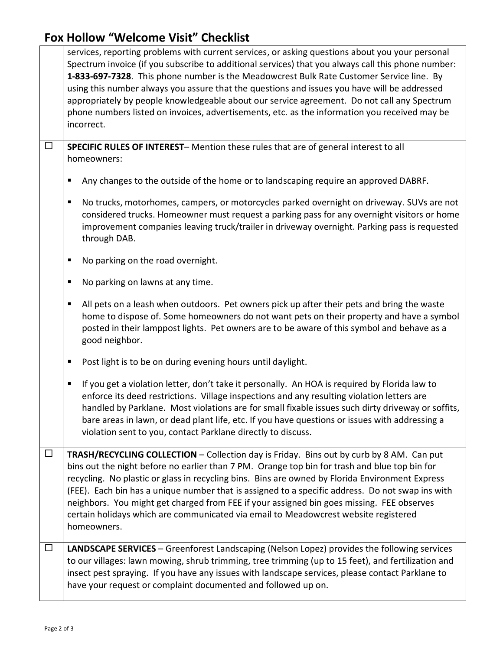## **Fox Hollow "Welcome Visit" Checklist**

|        | services, reporting problems with current services, or asking questions about you your personal<br>Spectrum invoice (if you subscribe to additional services) that you always call this phone number:<br>1-833-697-7328. This phone number is the Meadowcrest Bulk Rate Customer Service line. By<br>using this number always you assure that the questions and issues you have will be addressed<br>appropriately by people knowledgeable about our service agreement. Do not call any Spectrum<br>phone numbers listed on invoices, advertisements, etc. as the information you received may be<br>incorrect. |
|--------|-----------------------------------------------------------------------------------------------------------------------------------------------------------------------------------------------------------------------------------------------------------------------------------------------------------------------------------------------------------------------------------------------------------------------------------------------------------------------------------------------------------------------------------------------------------------------------------------------------------------|
| $\Box$ | SPECIFIC RULES OF INTEREST-Mention these rules that are of general interest to all<br>homeowners:                                                                                                                                                                                                                                                                                                                                                                                                                                                                                                               |
|        | Any changes to the outside of the home or to landscaping require an approved DABRF.<br>Е                                                                                                                                                                                                                                                                                                                                                                                                                                                                                                                        |
|        | No trucks, motorhomes, campers, or motorcycles parked overnight on driveway. SUVs are not<br>п<br>considered trucks. Homeowner must request a parking pass for any overnight visitors or home<br>improvement companies leaving truck/trailer in driveway overnight. Parking pass is requested<br>through DAB.                                                                                                                                                                                                                                                                                                   |
|        | No parking on the road overnight.<br>п                                                                                                                                                                                                                                                                                                                                                                                                                                                                                                                                                                          |
|        | No parking on lawns at any time.<br>Е                                                                                                                                                                                                                                                                                                                                                                                                                                                                                                                                                                           |
|        | All pets on a leash when outdoors. Pet owners pick up after their pets and bring the waste<br>п<br>home to dispose of. Some homeowners do not want pets on their property and have a symbol<br>posted in their lamppost lights. Pet owners are to be aware of this symbol and behave as a<br>good neighbor.                                                                                                                                                                                                                                                                                                     |
|        | Post light is to be on during evening hours until daylight.<br>Е                                                                                                                                                                                                                                                                                                                                                                                                                                                                                                                                                |
|        | If you get a violation letter, don't take it personally. An HOA is required by Florida law to<br>п<br>enforce its deed restrictions. Village inspections and any resulting violation letters are<br>handled by Parklane. Most violations are for small fixable issues such dirty driveway or soffits,<br>bare areas in lawn, or dead plant life, etc. If you have questions or issues with addressing a<br>violation sent to you, contact Parklane directly to discuss.                                                                                                                                         |
| $\Box$ | TRASH/RECYCLING COLLECTION - Collection day is Friday. Bins out by curb by 8 AM. Can put<br>bins out the night before no earlier than 7 PM. Orange top bin for trash and blue top bin for<br>recycling. No plastic or glass in recycling bins. Bins are owned by Florida Environment Express<br>(FEE). Each bin has a unique number that is assigned to a specific address. Do not swap ins with<br>neighbors. You might get charged from FEE if your assigned bin goes missing. FEE observes<br>certain holidays which are communicated via email to Meadowcrest website registered<br>homeowners.             |
| $\Box$ | <b>LANDSCAPE SERVICES</b> - Greenforest Landscaping (Nelson Lopez) provides the following services<br>to our villages: lawn mowing, shrub trimming, tree trimming (up to 15 feet), and fertilization and<br>insect pest spraying. If you have any issues with landscape services, please contact Parklane to<br>have your request or complaint documented and followed up on.                                                                                                                                                                                                                                   |